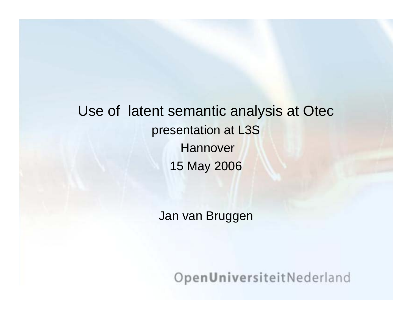Use of latent semantic analysis at Otec presentation at L3S **Hannover** 15 May 2006

Jan van Bruggen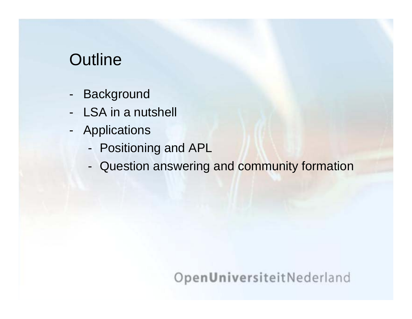# **Outline**

- -**Background**
- -LSA in a nutshell
- - Applications
	- -Positioning and APL
	- -- Question answering and community formation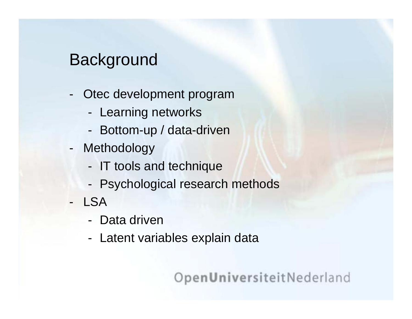## **Background**

- - Otec development program
	- -- Learning networks
	- -- Bottom-up / data-driven
- - Methodology
	- -- IT tools and technique
	- -Psychological research methods
- LSA
	- Data driven
	- -- Latent variables explain data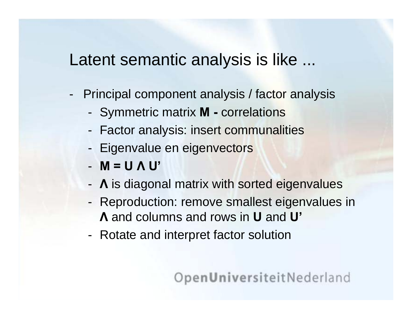## Latent semantic analysis is like ...

- Principal component analysis / factor analysis
	- Symmetric matrix **M -** correlations
	- Factor analysis: insert communalities
	- Eigenvalue en eigenvectors
	- **M = UΛ U'**
	- **Λ** is diagonal matrix with sorted eigenvalues
	- Reproduction: remove smallest eigenvalues in **Λ** and columns and rows in **U** and **U'**
	- Rotate and interpret factor solution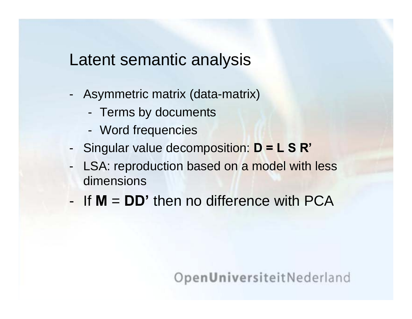## Latent semantic analysis

- Asymmetric matrix (data-matrix)
	- Terms by documents
	- Word frequencies
- Singular value decomposition: **D = L S R'**
- -LSA: reproduction based on a model with less dimensions
- If**M** <sup>=</sup>**DD'** then no difference with PCA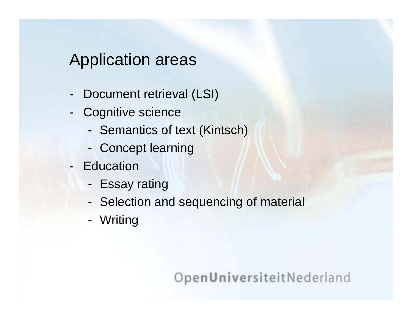## Application areas

- -Document retrieval (LSI)
- -Cognitive science
	- Semantics of text (Kintsch)
	- Concept learning
- Education
	- Essay rating
	- Selection and sequencing of material
	- W ritin g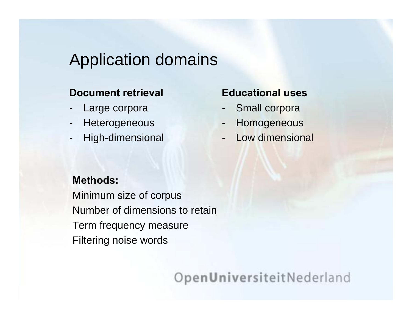## Application domains

#### **Document retrieval**

- -Large corpora
- -**Heterogeneous**
- -High-dimensional

#### **Educational uses**

- -Small corpora
- -Homogeneous
- -Low dimensional

#### **Methods:**

Minimum size o f corpus Number of dimensions to retain Term frequency measure Filtering nois e words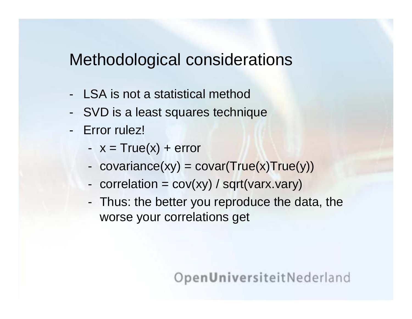## Methodological considerations

- -LSA is not a statistical method
- -SVD is a least squares technique
- -Error rulez!
	- x = True(x) + error
	- covariance(xy) = covar(True(x)True(y))
	- correlation = cov(xy) / sqrt(varx.vary)
	- Thus: the better you reproduce the data, the worse your correlations get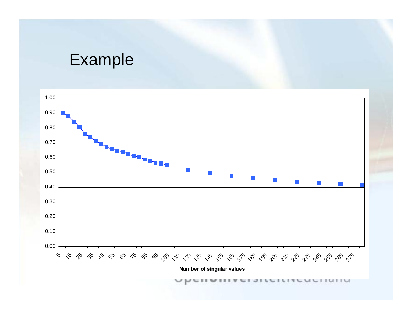## Example

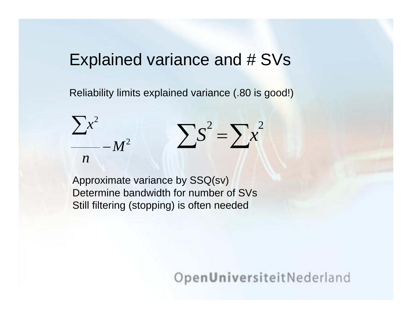### Explained variance and # SVs

Reliability limits explained variance (.80 is good!)

$$
\frac{\sum x^2}{n} - M^2 \qquad \sum s^2 = \sum x^2
$$

Approximate variance by SSQ(sv) Determine bandwidth for number of SVs Still filtering (stopping) is often needed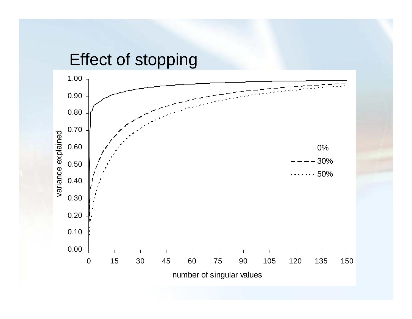## Effect of stopping

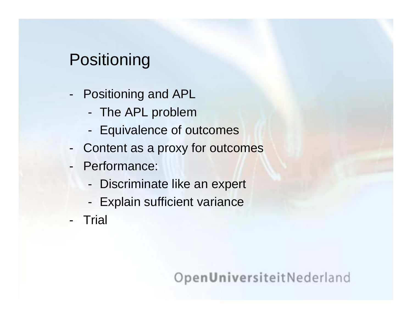# **Positioning**

- - Positioning and APL
	- -- The APL problem
	- -- Equivalence of outcomes
- -- Content as a proxy for outcomes
- - Performance:
	- -Discriminate like an expert
	- -- Explain sufficient variance
- -**Trial**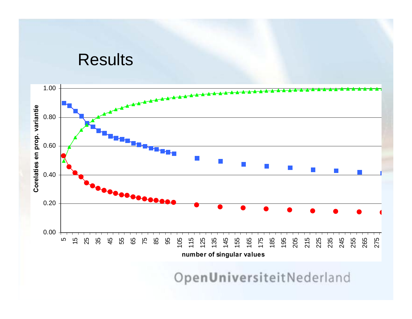#### **Results**

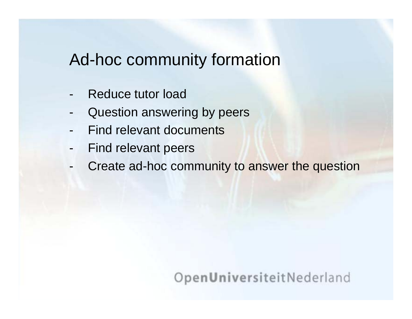## Ad-hoc community formation

- -Reduce tutor load
- -Question answering by peers
- -Find relevant documents
- -Find relevant peers
- -Create ad-hoc community to answer the question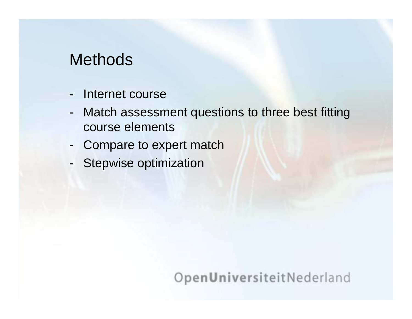## **Methods**

- -Internet course
- - Match assessment questions to three best fitting course elements
- -Compare to expert match
- -Stepwise optimization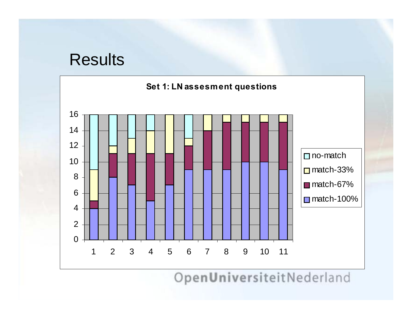### Results